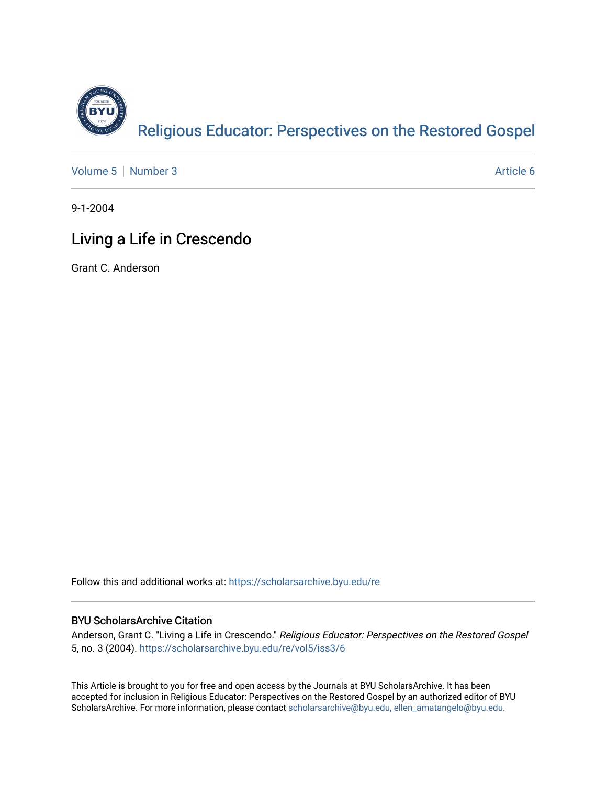

[Volume 5](https://scholarsarchive.byu.edu/re/vol5) | [Number 3](https://scholarsarchive.byu.edu/re/vol5/iss3) Article 6

9-1-2004

## Living a Life in Crescendo

Grant C. Anderson

Follow this and additional works at: [https://scholarsarchive.byu.edu/re](https://scholarsarchive.byu.edu/re?utm_source=scholarsarchive.byu.edu%2Fre%2Fvol5%2Fiss3%2F6&utm_medium=PDF&utm_campaign=PDFCoverPages)

## BYU ScholarsArchive Citation

Anderson, Grant C. "Living a Life in Crescendo." Religious Educator: Perspectives on the Restored Gospel 5, no. 3 (2004). [https://scholarsarchive.byu.edu/re/vol5/iss3/6](https://scholarsarchive.byu.edu/re/vol5/iss3/6?utm_source=scholarsarchive.byu.edu%2Fre%2Fvol5%2Fiss3%2F6&utm_medium=PDF&utm_campaign=PDFCoverPages)

This Article is brought to you for free and open access by the Journals at BYU ScholarsArchive. It has been accepted for inclusion in Religious Educator: Perspectives on the Restored Gospel by an authorized editor of BYU ScholarsArchive. For more information, please contact [scholarsarchive@byu.edu, ellen\\_amatangelo@byu.edu.](mailto:scholarsarchive@byu.edu,%20ellen_amatangelo@byu.edu)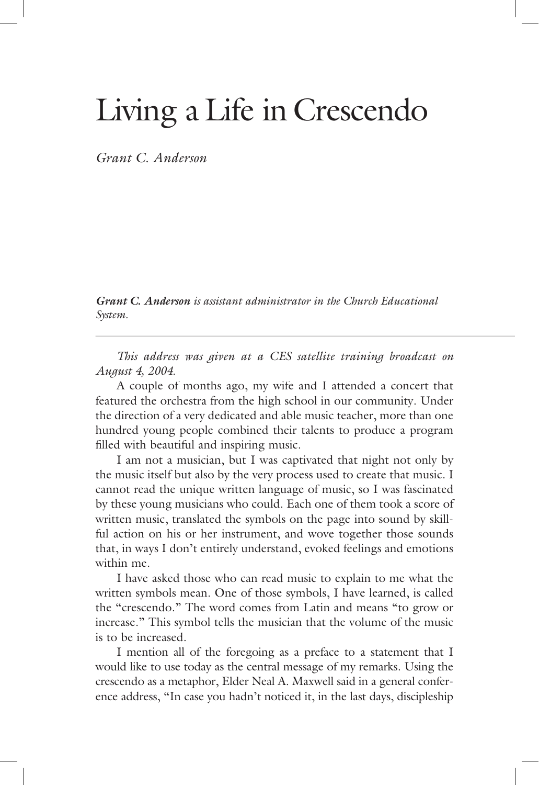## Living a Life in Crescendo

*Grant C. Anderson* 

*Grant C. Anderson is assistant administrator in the Church Educational is assistant administrator in the Church Educational System.* 

*This address was given at a CES satellite training broadcast on August 4, 2004.*

 A couple of months ago, my wife and I attended a concert that featured the orchestra from the high school in our community. Under the direction of a very dedicated and able music teacher, more than one hundred young people combined their talents to produce a program filled with beautiful and inspiring music.

 I am not a musician, but I was captivated that night not only by the music itself but also by the very process used to create that music. I cannot read the unique written language of music, so I was fascinated by these young musicians who could. Each one of them took a score of written music, translated the symbols on the page into sound by skillful action on his or her instrument, and wove together those sounds that, in ways I don't entirely understand, evoked feelings and emotions within me.

 I have asked those who can read music to explain to me what the written symbols mean. One of those symbols, I have learned, is called the "crescendo." The word comes from Latin and means "to grow or increase." This symbol tells the musician that the volume of the music is to be increased.

 I mention all of the foregoing as a preface to a statement that I would like to use today as the central message of my remarks. Using the crescendo as a metaphor, Elder Neal A. Maxwell said in a general conference address, "In case you hadn't noticed it, in the last days, discipleship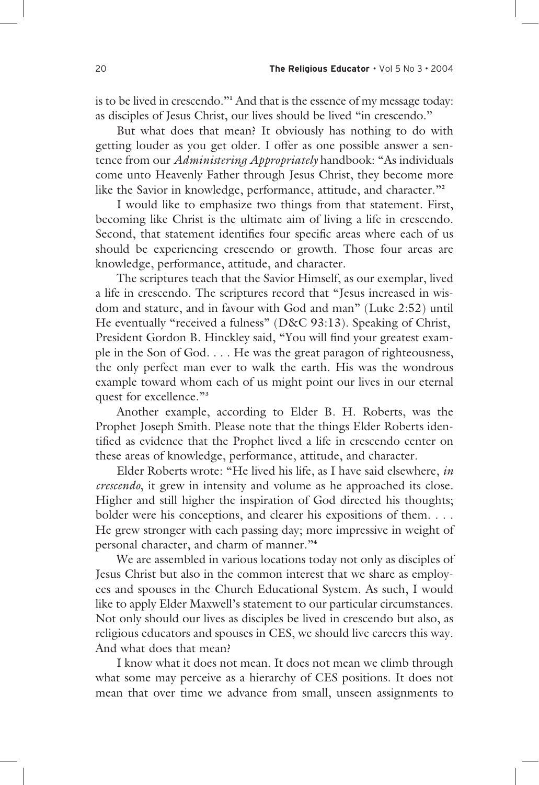is to be lived in crescendo."**<sup>1</sup>** And that is the essence of my message today: as disciples of Jesus Christ, our lives should be lived "in crescendo."

 But what does that mean? It obviously has nothing to do with getting louder as you get older. I offer as one possible answer a sentence from our *Administering Appropriately* handbook: "As individuals come unto Heavenly Father through Jesus Christ, they become more like the Savior in knowledge, performance, attitude, and character."**<sup>2</sup>**

 I would like to emphasize two things from that statement. First, becoming like Christ is the ultimate aim of living a life in crescendo. Second, that statement identifies four specific areas where each of us should be experiencing crescendo or growth. Those four areas are knowledge, performance, attitude, and character.

 The scriptures teach that the Savior Himself, as our exemplar, lived a life in crescendo. The scriptures record that "Jesus increased in wisdom and stature, and in favour with God and man" (Luke 2:52) until He eventually "received a fulness" (D&C 93:13). Speaking of Christ, President Gordon B. Hinckley said, "You will find your greatest example in the Son of God. . . . He was the great paragon of righteousness, the only perfect man ever to walk the earth. His was the wondrous example toward whom each of us might point our lives in our eternal quest for excellence."**<sup>3</sup>**

 Another example, according to Elder B. H. Roberts, was the Prophet Joseph Smith. Please note that the things Elder Roberts identified as evidence that the Prophet lived a life in crescendo center on these areas of knowledge, performance, attitude, and character.

 Elder Roberts wrote: "He lived his life, as I have said elsewhere, *in crescendo*, it grew in intensity and volume as he approached its close. Higher and still higher the inspiration of God directed his thoughts; bolder were his conceptions, and clearer his expositions of them. . . . He grew stronger with each passing day; more impressive in weight of personal character, and charm of manner."**<sup>4</sup>**

 We are assembled in various locations today not only as disciples of Jesus Christ but also in the common interest that we share as employees and spouses in the Church Educational System. As such, I would like to apply Elder Maxwell's statement to our particular circumstances. Not only should our lives as disciples be lived in crescendo but also, as religious educators and spouses in CES, we should live careers this way. And what does that mean?

 I know what it does not mean. It does not mean we climb through what some may perceive as a hierarchy of CES positions. It does not mean that over time we advance from small, unseen assignments to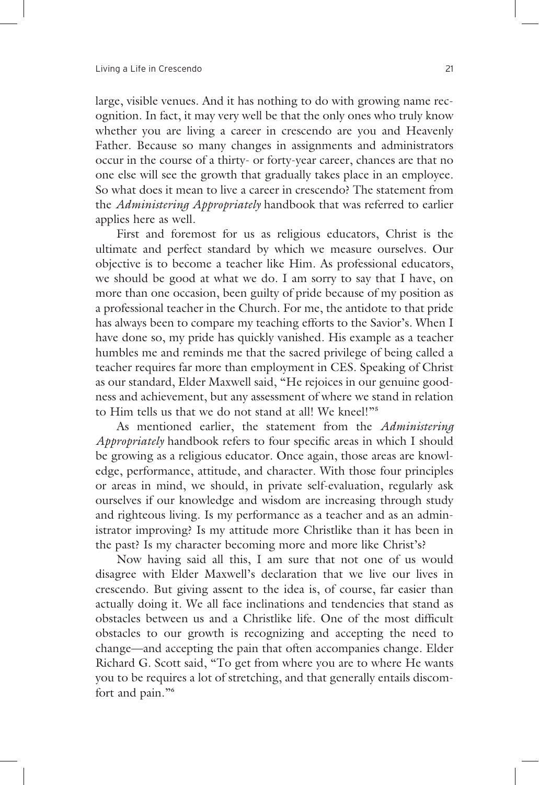large, visible venues. And it has nothing to do with growing name recognition. In fact, it may very well be that the only ones who truly know whether you are living a career in crescendo are you and Heavenly Father. Because so many changes in assignments and administrators occur in the course of a thirty- or forty-year career, chances are that no one else will see the growth that gradually takes place in an employee. So what does it mean to live a career in crescendo? The statement from the *Administering Appropriately* handbook that was referred to earlier applies here as well.

 First and foremost for us as religious educators, Christ is the ultimate and perfect standard by which we measure ourselves. Our objective is to become a teacher like Him. As professional educators, we should be good at what we do. I am sorry to say that I have, on more than one occasion, been guilty of pride because of my position as a professional teacher in the Church. For me, the antidote to that pride has always been to compare my teaching efforts to the Savior's. When I have done so, my pride has quickly vanished. His example as a teacher humbles me and reminds me that the sacred privilege of being called a teacher requires far more than employment in CES. Speaking of Christ as our standard, Elder Maxwell said, "He rejoices in our genuine goodness and achievement, but any assessment of where we stand in relation to Him tells us that we do not stand at all! We kneel!"**<sup>5</sup>**

 As mentioned earlier, the statement from the *Administering Appropriately* handbook refers to four specific areas in which I should be growing as a religious educator. Once again, those areas are knowledge, performance, attitude, and character. With those four principles or areas in mind, we should, in private self-evaluation, regularly ask ourselves if our knowledge and wisdom are increasing through study and righteous living. Is my performance as a teacher and as an administrator improving? Is my attitude more Christlike than it has been in the past? Is my character becoming more and more like Christ's?

 Now having said all this, I am sure that not one of us would disagree with Elder Maxwell's declaration that we live our lives in crescendo. But giving assent to the idea is, of course, far easier than actually doing it. We all face inclinations and tendencies that stand as obstacles between us and a Christlike life. One of the most difficult obstacles to our growth is recognizing and accepting the need to change—and accepting the pain that often accompanies change. Elder Richard G. Scott said, "To get from where you are to where He wants you to be requires a lot of stretching, and that generally entails discomfort and pain."**<sup>6</sup>**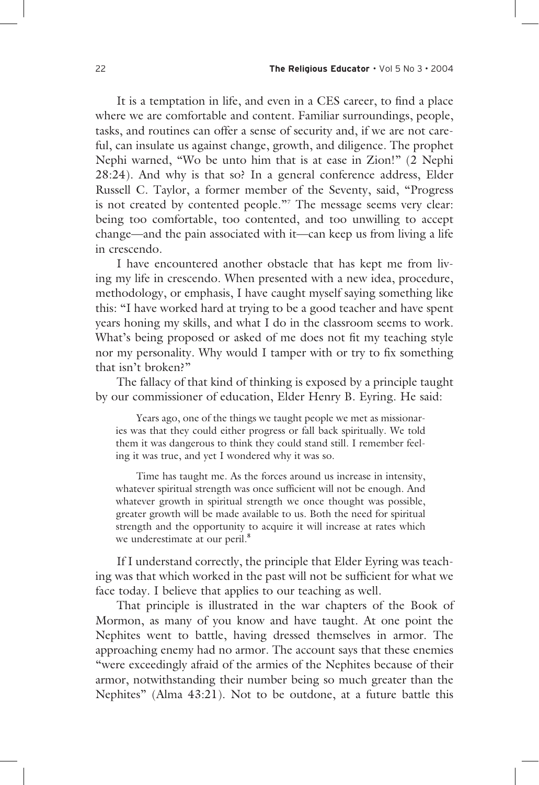It is a temptation in life, and even in a CES career, to find a place where we are comfortable and content. Familiar surroundings, people, tasks, and routines can offer a sense of security and, if we are not careful, can insulate us against change, growth, and diligence. The prophet Nephi warned, "Wo be unto him that is at ease in Zion!" (2 Nephi 28:24). And why is that so? In a general conference address, Elder Russell C. Taylor, a former member of the Seventy, said, "Progress is not created by contented people."**<sup>7</sup>** The message seems very clear: being too comfortable, too contented, and too unwilling to accept change—and the pain associated with it—can keep us from living a life in crescendo.

 I have encountered another obstacle that has kept me from living my life in crescendo. When presented with a new idea, procedure, methodology, or emphasis, I have caught myself saying something like this: "I have worked hard at trying to be a good teacher and have spent years honing my skills, and what I do in the classroom seems to work. What's being proposed or asked of me does not fit my teaching style nor my personality. Why would I tamper with or try to fix something that isn't broken?"

 The fallacy of that kind of thinking is exposed by a principle taught by our commissioner of education, Elder Henry B. Eyring. He said:

 Years ago, one of the things we taught people we met as missionaries was that they could either progress or fall back spiritually. We told them it was dangerous to think they could stand still. I remember feeling it was true, and yet I wondered why it was so.

 Time has taught me. As the forces around us increase in intensity, whatever spiritual strength was once sufficient will not be enough. And whatever growth in spiritual strength we once thought was possible, greater growth will be made available to us. Both the need for spiritual strength and the opportunity to acquire it will increase at rates which we underestimate at our peril.**<sup>8</sup>**

 If I understand correctly, the principle that Elder Eyring was teaching was that which worked in the past will not be sufficient for what we face today. I believe that applies to our teaching as well.

 That principle is illustrated in the war chapters of the Book of Mormon, as many of you know and have taught. At one point the Nephites went to battle, having dressed themselves in armor. The approaching enemy had no armor. The account says that these enemies "were exceedingly afraid of the armies of the Nephites because of their armor, notwithstanding their number being so much greater than the Nephites" (Alma 43:21). Not to be outdone, at a future battle this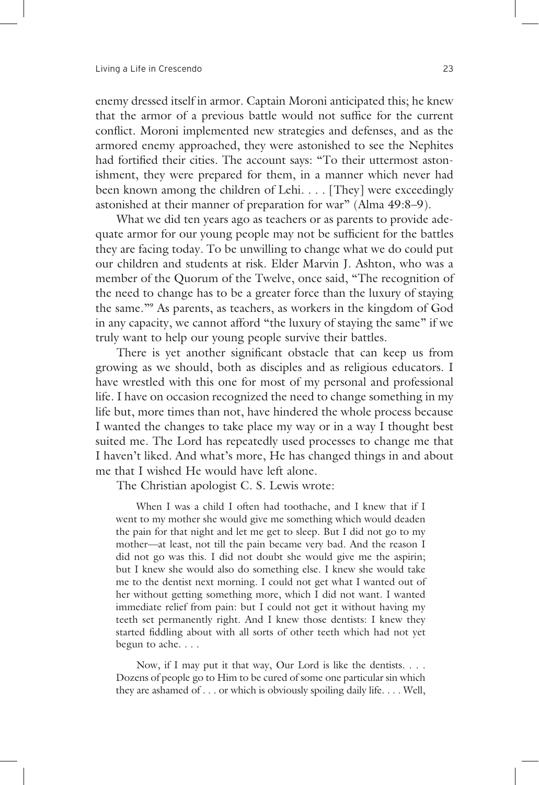enemy dressed itself in armor. Captain Moroni anticipated this; he knew that the armor of a previous battle would not suffice for the current conflict. Moroni implemented new strategies and defenses, and as the armored enemy approached, they were astonished to see the Nephites had fortified their cities. The account says: "To their uttermost astonishment, they were prepared for them, in a manner which never had been known among the children of Lehi. . . . [They] were exceedingly astonished at their manner of preparation for war" (Alma 49:8–9).

 What we did ten years ago as teachers or as parents to provide adequate armor for our young people may not be sufficient for the battles they are facing today. To be unwilling to change what we do could put our children and students at risk. Elder Marvin J. Ashton, who was a member of the Quorum of the Twelve, once said, "The recognition of the need to change has to be a greater force than the luxury of staying the same."**<sup>9</sup>** As parents, as teachers, as workers in the kingdom of God in any capacity, we cannot afford "the luxury of staying the same" if we truly want to help our young people survive their battles.

There is yet another significant obstacle that can keep us from growing as we should, both as disciples and as religious educators. I have wrestled with this one for most of my personal and professional life. I have on occasion recognized the need to change something in my life but, more times than not, have hindered the whole process because I wanted the changes to take place my way or in a way I thought best suited me. The Lord has repeatedly used processes to change me that I haven't liked. And what's more, He has changed things in and about me that I wished He would have left alone.

The Christian apologist C. S. Lewis wrote:

 When I was a child I often had toothache, and I knew that if I went to my mother she would give me something which would deaden the pain for that night and let me get to sleep. But I did not go to my mother—at least, not till the pain became very bad. And the reason I did not go was this. I did not doubt she would give me the aspirin; but I knew she would also do something else. I knew she would take me to the dentist next morning. I could not get what I wanted out of her without getting something more, which I did not want. I wanted immediate relief from pain: but I could not get it without having my teeth set permanently right. And I knew those dentists: I knew they started fiddling about with all sorts of other teeth which had not yet begun to ache. . . .

 Now, if I may put it that way, Our Lord is like the dentists. . . . Dozens of people go to Him to be cured of some one particular sin which they are ashamed of . . . or which is obviously spoiling daily life. . . . Well,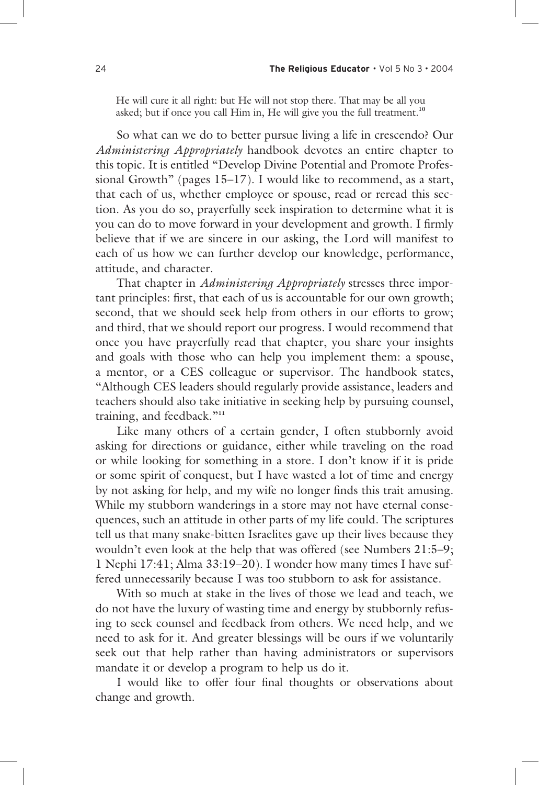He will cure it all right: but He will not stop there. That may be all you asked; but if once you call Him in, He will give you the full treatment.**<sup>10</sup>**

 So what can we do to better pursue living a life in crescendo? Our *Administering Appropriately* handbook devotes an entire chapter to this topic. It is entitled "Develop Divine Potential and Promote Professional Growth" (pages 15–17). I would like to recommend, as a start, that each of us, whether employee or spouse, read or reread this section. As you do so, prayerfully seek inspiration to determine what it is you can do to move forward in your development and growth. I firmly believe that if we are sincere in our asking, the Lord will manifest to each of us how we can further develop our knowledge, performance, attitude, and character.

That chapter in *Administering Appropriately* stresses three important principles: first, that each of us is accountable for our own growth; second, that we should seek help from others in our efforts to grow; and third, that we should report our progress. I would recommend that once you have prayerfully read that chapter, you share your insights and goals with those who can help you implement them: a spouse, a mentor, or a CES colleague or supervisor. The handbook states, "Although CES leaders should regularly provide assistance, leaders and teachers should also take initiative in seeking help by pursuing counsel, training, and feedback."**<sup>11</sup>**

 Like many others of a certain gender, I often stubbornly avoid asking for directions or guidance, either while traveling on the road or while looking for something in a store. I don't know if it is pride or some spirit of conquest, but I have wasted a lot of time and energy by not asking for help, and my wife no longer finds this trait amusing. While my stubborn wanderings in a store may not have eternal consequences, such an attitude in other parts of my life could. The scriptures tell us that many snake-bitten Israelites gave up their lives because they wouldn't even look at the help that was offered (see Numbers 21:5–9; 1 Nephi 17:41; Alma 33:19–20). I wonder how many times I have suffered unnecessarily because I was too stubborn to ask for assistance.

 With so much at stake in the lives of those we lead and teach, we do not have the luxury of wasting time and energy by stubbornly refusing to seek counsel and feedback from others. We need help, and we need to ask for it. And greater blessings will be ours if we voluntarily seek out that help rather than having administrators or supervisors mandate it or develop a program to help us do it.

I would like to offer four final thoughts or observations about change and growth.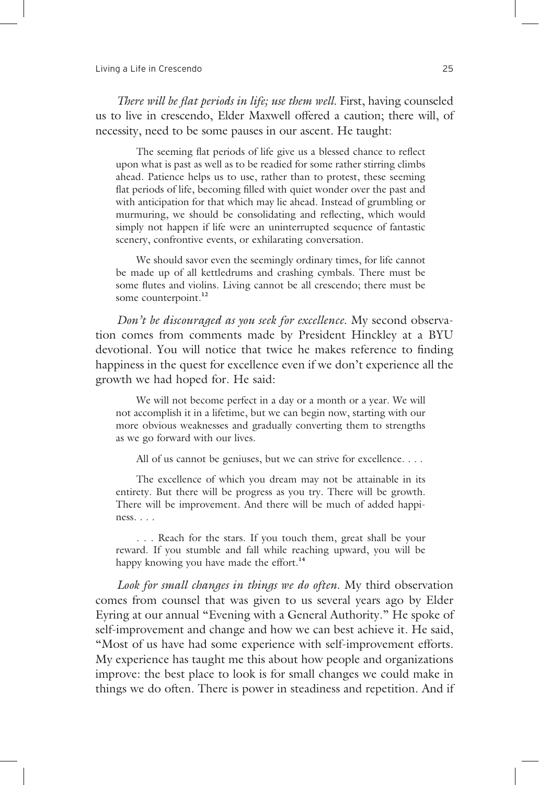*There will be flat periods in life; use them well.* First, having counseled us to live in crescendo, Elder Maxwell offered a caution; there will, of necessity, need to be some pauses in our ascent. He taught:

The seeming flat periods of life give us a blessed chance to reflect upon what is past as well as to be readied for some rather stirring climbs ahead. Patience helps us to use, rather than to protest, these seeming flat periods of life, becoming filled with quiet wonder over the past and with anticipation for that which may lie ahead. Instead of grumbling or murmuring, we should be consolidating and reflecting, which would simply not happen if life were an uninterrupted sequence of fantastic scenery, confrontive events, or exhilarating conversation.

 We should savor even the seemingly ordinary times, for life cannot be made up of all kettledrums and crashing cymbals. There must be some flutes and violins. Living cannot be all crescendo; there must be some counterpoint.**<sup>12</sup>**

*Don't be discouraged as you seek for excellence*. My second observation comes from comments made by President Hinckley at a BYU devotional. You will notice that twice he makes reference to finding happiness in the quest for excellence even if we don't experience all the growth we had hoped for. He said:

 We will not become perfect in a day or a month or a year. We will not accomplish it in a lifetime, but we can begin now, starting with our more obvious weaknesses and gradually converting them to strengths as we go forward with our lives.

All of us cannot be geniuses, but we can strive for excellence. . . .

 The excellence of which you dream may not be attainable in its entirety. But there will be progress as you try. There will be growth. There will be improvement. And there will be much of added happiness. . . .

 . . . Reach for the stars. If you touch them, great shall be your reward. If you stumble and fall while reaching upward, you will be happy knowing you have made the effort.**<sup>14</sup>**

*Look for small changes in things we do often*. My third observation comes from counsel that was given to us several years ago by Elder Eyring at our annual "Evening with a General Authority." He spoke of self-improvement and change and how we can best achieve it. He said, "Most of us have had some experience with self-improvement efforts. My experience has taught me this about how people and organizations improve: the best place to look is for small changes we could make in things we do often. There is power in steadiness and repetition. And if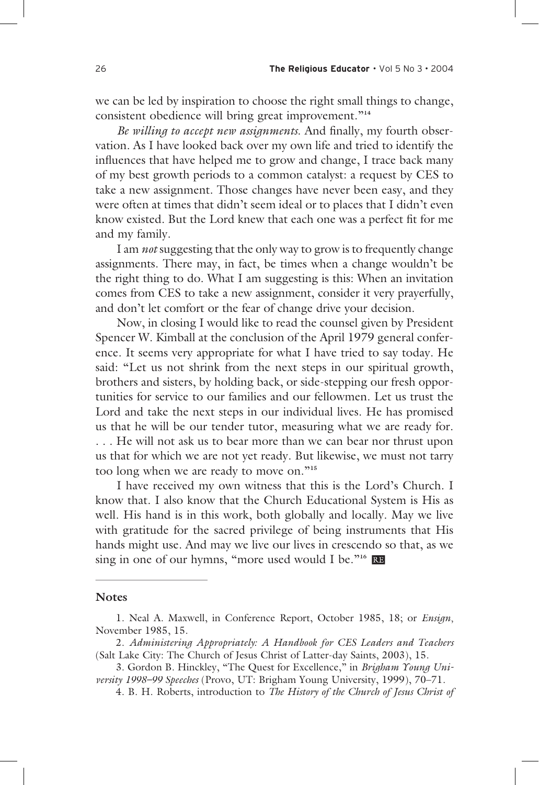we can be led by inspiration to choose the right small things to change, consistent obedience will bring great improvement."**<sup>14</sup>**

*Be willing to accept new assignments*. And finally, my fourth observation. As I have looked back over my own life and tried to identify the influences that have helped me to grow and change, I trace back many of my best growth periods to a common catalyst: a request by CES to take a new assignment. Those changes have never been easy, and they were often at times that didn't seem ideal or to places that I didn't even know existed. But the Lord knew that each one was a perfect fit for me and my family.

I am *not* suggesting that the only way to grow is to frequently change assignments. There may, in fact, be times when a change wouldn't be the right thing to do. What I am suggesting is this: When an invitation comes from CES to take a new assignment, consider it very prayerfully, and don't let comfort or the fear of change drive your decision.

 Now, in closing I would like to read the counsel given by President Spencer W. Kimball at the conclusion of the April 1979 general conference. It seems very appropriate for what I have tried to say today. He said: "Let us not shrink from the next steps in our spiritual growth, brothers and sisters, by holding back, or side-stepping our fresh opportunities for service to our families and our fellowmen. Let us trust the Lord and take the next steps in our individual lives. He has promised us that he will be our tender tutor, measuring what we are ready for. . . . He will not ask us to bear more than we can bear nor thrust upon us that for which we are not yet ready. But likewise, we must not tarry too long when we are ready to move on."**<sup>15</sup>**

 I have received my own witness that this is the Lord's Church. I know that. I also know that the Church Educational System is His as well. His hand is in this work, both globally and locally. May we live with gratitude for the sacred privilege of being instruments that His hands might use. And may we live our lives in crescendo so that, as we sing in one of our hymns, "more used would I be."**<sup>16</sup>**

## **Notes**

<sup>1.</sup> Neal A. Maxwell, in Conference Report, October 1985, 18; or *Ensign*, November 1985, 15.

<sup>2.</sup> *Administering Appropriately: A Handbook for CES Leaders and Teachers* (Salt Lake City: The Church of Jesus Christ of Latter-day Saints, 2003), 15.

<sup>3.</sup> Gordon B. Hinckley, "The Quest for Excellence," in *Brigham Young University 1998–99 Speeches* (Provo, UT: Brigham Young University, 1999), 70–71.

<sup>4.</sup> B. H. Roberts, introduction to *The History of the Church of Jesus Christ of*